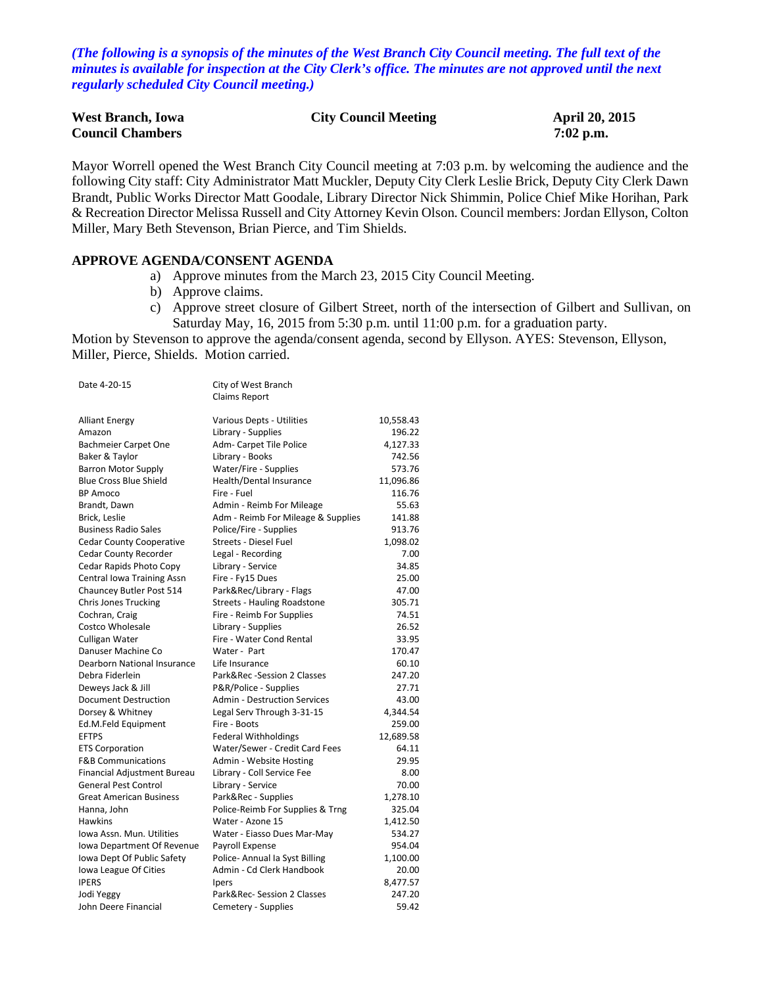*(The following is a synopsis of the minutes of the West Branch City Council meeting. The full text of the minutes is available for inspection at the City Clerk's office. The minutes are not approved until the next regularly scheduled City Council meeting.)*

| <b>West Branch, Iowa</b> | <b>City Council Meeting</b> | April 20, 2015 |
|--------------------------|-----------------------------|----------------|
| <b>Council Chambers</b>  |                             | $7:02$ p.m.    |

Mayor Worrell opened the West Branch City Council meeting at 7:03 p.m. by welcoming the audience and the following City staff: City Administrator Matt Muckler, Deputy City Clerk Leslie Brick, Deputy City Clerk Dawn Brandt, Public Works Director Matt Goodale, Library Director Nick Shimmin, Police Chief Mike Horihan, Park & Recreation Director Melissa Russell and City Attorney Kevin Olson. Council members: Jordan Ellyson, Colton Miller, Mary Beth Stevenson, Brian Pierce, and Tim Shields.

### **APPROVE AGENDA/CONSENT AGENDA**

- a) Approve minutes from the March 23, 2015 City Council Meeting.
- b) Approve claims.
- c) Approve street closure of Gilbert Street, north of the intersection of Gilbert and Sullivan, on Saturday May, 16, 2015 from 5:30 p.m. until 11:00 p.m. for a graduation party.

Motion by Stevenson to approve the agenda/consent agenda, second by Ellyson. AYES: Stevenson, Ellyson, Miller, Pierce, Shields. Motion carried.

| Date 4-20-15                    | City of West Branch                 |           |
|---------------------------------|-------------------------------------|-----------|
|                                 | Claims Report                       |           |
| <b>Alliant Energy</b>           | Various Depts - Utilities           | 10,558.43 |
| Amazon                          | Library - Supplies                  | 196.22    |
| Bachmeier Carpet One            | Adm- Carpet Tile Police             | 4,127.33  |
| Baker & Taylor                  | Library - Books                     | 742.56    |
| <b>Barron Motor Supply</b>      | Water/Fire - Supplies               | 573.76    |
| <b>Blue Cross Blue Shield</b>   | Health/Dental Insurance             | 11,096.86 |
| <b>BP Amoco</b>                 | Fire - Fuel                         | 116.76    |
| Brandt, Dawn                    | Admin - Reimb For Mileage           | 55.63     |
| Brick, Leslie                   | Adm - Reimb For Mileage & Supplies  | 141.88    |
| <b>Business Radio Sales</b>     | Police/Fire - Supplies              | 913.76    |
| <b>Cedar County Cooperative</b> | Streets - Diesel Fuel               | 1,098.02  |
| Cedar County Recorder           | Legal - Recording                   | 7.00      |
| Cedar Rapids Photo Copy         | Library - Service                   | 34.85     |
| Central Iowa Training Assn      | Fire - Fy15 Dues                    | 25.00     |
| Chauncey Butler Post 514        | Park&Rec/Library - Flags            | 47.00     |
| <b>Chris Jones Trucking</b>     | <b>Streets - Hauling Roadstone</b>  | 305.71    |
| Cochran, Craig                  | Fire - Reimb For Supplies           | 74.51     |
| Costco Wholesale                | Library - Supplies                  | 26.52     |
| Culligan Water                  | Fire - Water Cond Rental            | 33.95     |
| Danuser Machine Co              | Water - Part                        | 170.47    |
| Dearborn National Insurance     | Life Insurance                      | 60.10     |
| Debra Fiderlein                 | Park&Rec -Session 2 Classes         | 247.20    |
| Deweys Jack & Jill              | P&R/Police - Supplies               | 27.71     |
| Document Destruction            | <b>Admin - Destruction Services</b> | 43.00     |
| Dorsey & Whitney                | Legal Serv Through 3-31-15          | 4,344.54  |
| Ed.M.Feld Equipment             | Fire - Boots                        | 259.00    |
| <b>EFTPS</b>                    | <b>Federal Withholdings</b>         | 12,689.58 |
| <b>ETS Corporation</b>          | Water/Sewer - Credit Card Fees      | 64.11     |
| <b>F&amp;B Communications</b>   | Admin - Website Hosting             | 29.95     |
| Financial Adjustment Bureau     | Library - Coll Service Fee          | 8.00      |
| <b>General Pest Control</b>     | Library - Service                   | 70.00     |
| <b>Great American Business</b>  | Park&Rec - Supplies                 | 1,278.10  |
| Hanna, John                     | Police-Reimb For Supplies & Trng    | 325.04    |
| Hawkins                         | Water - Azone 15                    | 1,412.50  |
| Iowa Assn. Mun. Utilities       | Water - Eiasso Dues Mar-May         | 534.27    |
| Iowa Department Of Revenue      | Payroll Expense                     | 954.04    |
| Iowa Dept Of Public Safety      | Police- Annual Ia Syst Billing      | 1,100.00  |
| Iowa League Of Cities           | Admin - Cd Clerk Handbook           | 20.00     |
| <b>IPERS</b>                    | Ipers                               | 8,477.57  |
| Jodi Yeggy                      | Park&Rec- Session 2 Classes         | 247.20    |
| John Deere Financial            | Cemetery - Supplies                 | 59.42     |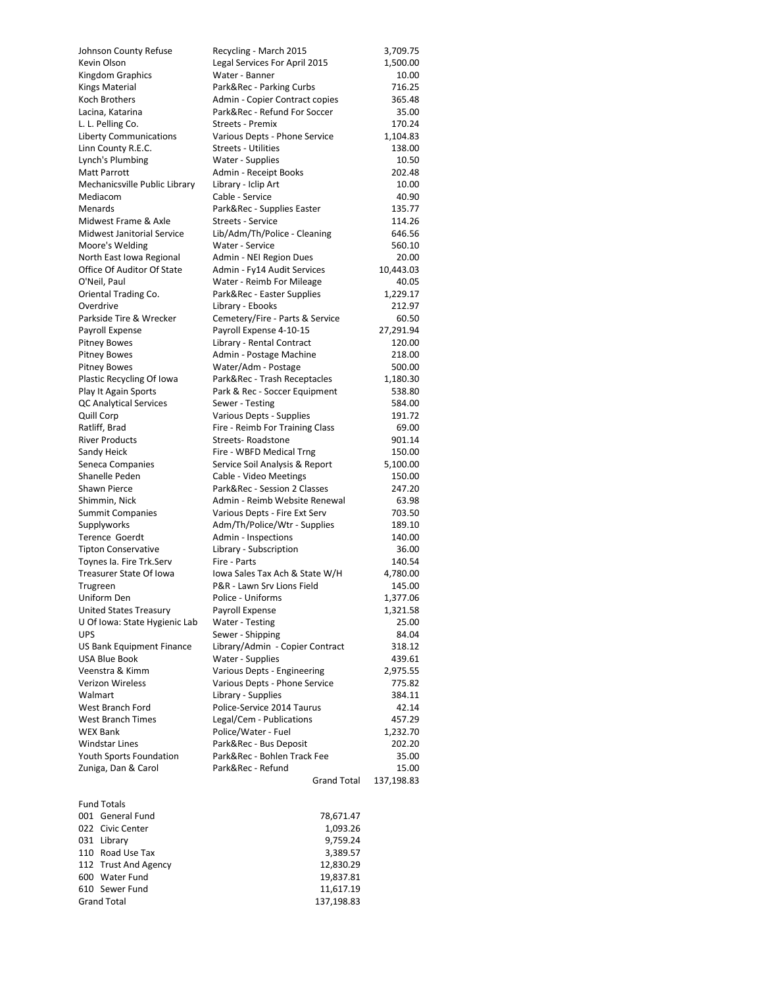| Johnson County Refuse            | Recycling - March 2015                                 | 3,709.75   |
|----------------------------------|--------------------------------------------------------|------------|
| Kevin Olson                      | Legal Services For April 2015                          | 1,500.00   |
| Kingdom Graphics                 | Water - Banner                                         | 10.00      |
| <b>Kings Material</b>            | Park&Rec - Parking Curbs                               | 716.25     |
| Koch Brothers                    | Admin - Copier Contract copies                         | 365.48     |
| Lacina, Katarina                 | Park&Rec - Refund For Soccer                           | 35.00      |
| L. L. Pelling Co.                | Streets - Premix                                       | 170.24     |
| <b>Liberty Communications</b>    | Various Depts - Phone Service                          | 1,104.83   |
| Linn County R.E.C.               | <b>Streets - Utilities</b>                             | 138.00     |
| Lynch's Plumbing                 | Water - Supplies                                       | 10.50      |
| <b>Matt Parrott</b>              | Admin - Receipt Books                                  | 202.48     |
|                                  |                                                        |            |
| Mechanicsville Public Library    | Library - Iclip Art                                    | 10.00      |
| Mediacom                         | Cable - Service                                        | 40.90      |
| Menards                          | Park&Rec - Supplies Easter                             | 135.77     |
| Midwest Frame & Axle             | Streets - Service                                      | 114.26     |
| Midwest Janitorial Service       | Lib/Adm/Th/Police - Cleaning                           | 646.56     |
| Moore's Welding                  | Water - Service                                        | 560.10     |
| North East Iowa Regional         | Admin - NEI Region Dues                                | 20.00      |
| Office Of Auditor Of State       | Admin - Fy14 Audit Services                            | 10,443.03  |
| O'Neil, Paul                     | Water - Reimb For Mileage                              | 40.05      |
| Oriental Trading Co.             | Park&Rec - Easter Supplies                             | 1,229.17   |
| Overdrive                        | Library - Ebooks                                       | 212.97     |
| Parkside Tire & Wrecker          | Cemetery/Fire - Parts & Service                        | 60.50      |
| Payroll Expense                  | Payroll Expense 4-10-15                                | 27,291.94  |
| <b>Pitney Bowes</b>              | Library - Rental Contract                              | 120.00     |
| <b>Pitney Bowes</b>              | Admin - Postage Machine                                | 218.00     |
| <b>Pitney Bowes</b>              | Water/Adm - Postage                                    | 500.00     |
| Plastic Recycling Of Iowa        | Park&Rec - Trash Receptacles                           | 1,180.30   |
| Play It Again Sports             | Park & Rec - Soccer Equipment                          | 538.80     |
| <b>QC Analytical Services</b>    | Sewer - Testing                                        | 584.00     |
| Quill Corp                       | Various Depts - Supplies                               | 191.72     |
| Ratliff, Brad                    | Fire - Reimb For Training Class                        | 69.00      |
| <b>River Products</b>            | Streets-Roadstone                                      | 901.14     |
| Sandy Heick                      | Fire - WBFD Medical Trng                               | 150.00     |
| Seneca Companies                 | Service Soil Analysis & Report                         | 5,100.00   |
| Shanelle Peden                   |                                                        | 150.00     |
| Shawn Pierce                     | Cable - Video Meetings<br>Park&Rec - Session 2 Classes | 247.20     |
|                                  | Admin - Reimb Website Renewal                          | 63.98      |
| Shimmin, Nick                    |                                                        | 703.50     |
| <b>Summit Companies</b>          | Various Depts - Fire Ext Serv                          |            |
| Supplyworks                      | Adm/Th/Police/Wtr - Supplies                           | 189.10     |
| <b>Terence Goerdt</b>            | Admin - Inspections                                    | 140.00     |
| <b>Tipton Conservative</b>       | Library - Subscription                                 | 36.00      |
| Toynes Ia. Fire Trk.Serv         | Fire - Parts                                           | 140.54     |
| Treasurer State Of Iowa          | lowa Sales Tax Ach & State W/H                         | 4,780.00   |
| Trugreen                         | P&R - Lawn Srv Lions Field                             | 145.00     |
| Uniform Den                      | Police - Uniforms                                      | 1,377.06   |
| <b>United States Treasury</b>    | Payroll Expense                                        | 1,321.58   |
| U Of Iowa: State Hygienic Lab    | Water - Testing                                        | 25.00      |
| <b>UPS</b>                       | Sewer - Shipping                                       | 84.04      |
| <b>US Bank Equipment Finance</b> | Library/Admin - Copier Contract                        | 318.12     |
| <b>USA Blue Book</b>             | Water - Supplies                                       | 439.61     |
| Veenstra & Kimm                  | Various Depts - Engineering                            | 2,975.55   |
| Verizon Wireless                 | Various Depts - Phone Service                          | 775.82     |
| Walmart                          | Library - Supplies                                     | 384.11     |
| West Branch Ford                 | Police-Service 2014 Taurus                             | 42.14      |
| <b>West Branch Times</b>         | Legal/Cem - Publications                               | 457.29     |
| <b>WEX Bank</b>                  | Police/Water - Fuel                                    | 1,232.70   |
| <b>Windstar Lines</b>            | Park&Rec - Bus Deposit                                 | 202.20     |
| Youth Sports Foundation          | Park&Rec - Bohlen Track Fee                            | 35.00      |
| Zuniga, Dan & Carol              | Park&Rec - Refund                                      | 15.00      |
|                                  | <b>Grand Total</b>                                     | 137,198.83 |
|                                  |                                                        |            |
| <b>Fund Totals</b>               |                                                        |            |
| 001 General Fund                 | 78,671.47                                              |            |
| 022 Civic Center                 | 1,093.26                                               |            |
| 031 Library                      | 9,759.24                                               |            |
| 110 Road Use Tax                 | 3,389.57                                               |            |
| 112 Trust And Agency             | 12,830.29                                              |            |
| 600 Water Fund                   | 19,837.81                                              |            |
| 610 Sewer Fund                   | 11,617.19                                              |            |
|                                  |                                                        |            |
| <b>Grand Total</b>               | 137,198.83                                             |            |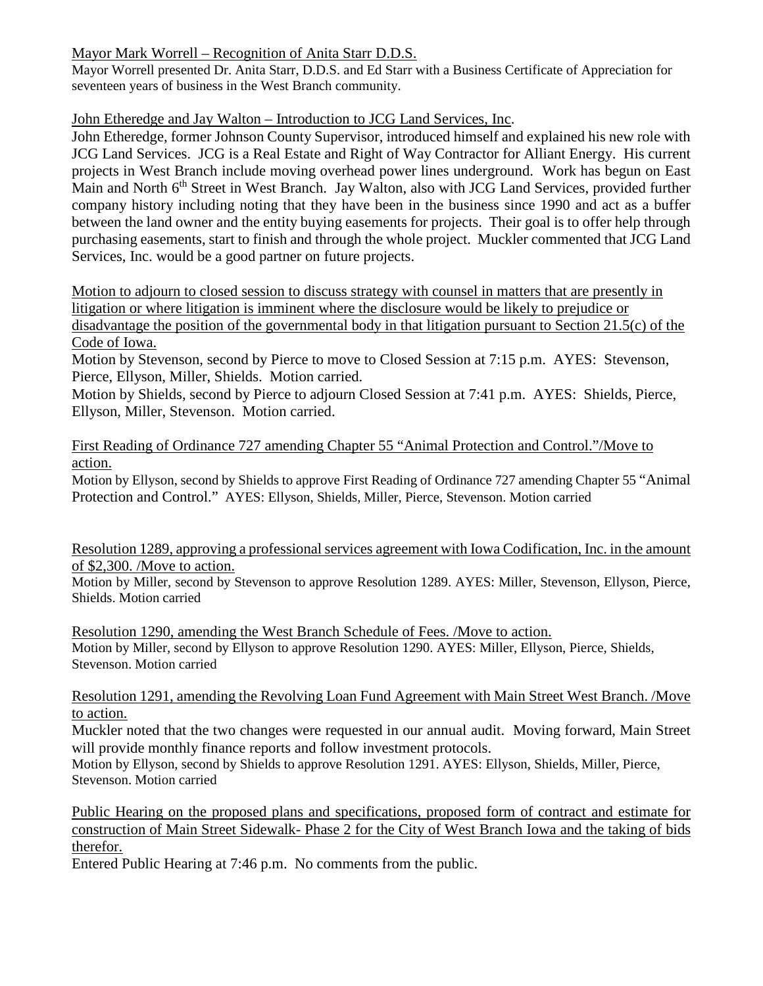# Mayor Mark Worrell – Recognition of Anita Starr D.D.S.

Mayor Worrell presented Dr. Anita Starr, D.D.S. and Ed Starr with a Business Certificate of Appreciation for seventeen years of business in the West Branch community.

# John Etheredge and Jay Walton – Introduction to JCG Land Services, Inc.

John Etheredge, former Johnson County Supervisor, introduced himself and explained his new role with JCG Land Services. JCG is a Real Estate and Right of Way Contractor for Alliant Energy. His current projects in West Branch include moving overhead power lines underground. Work has begun on East Main and North 6<sup>th</sup> Street in West Branch. Jay Walton, also with JCG Land Services, provided further company history including noting that they have been in the business since 1990 and act as a buffer between the land owner and the entity buying easements for projects. Their goal is to offer help through purchasing easements, start to finish and through the whole project. Muckler commented that JCG Land Services, Inc. would be a good partner on future projects.

Motion to adjourn to closed session to discuss strategy with counsel in matters that are presently in litigation or where litigation is imminent where the disclosure would be likely to prejudice or

disadvantage the position of the governmental body in that litigation pursuant to Section 21.5(c) of the Code of Iowa.

Motion by Stevenson, second by Pierce to move to Closed Session at 7:15 p.m. AYES: Stevenson, Pierce, Ellyson, Miller, Shields. Motion carried.

Motion by Shields, second by Pierce to adjourn Closed Session at 7:41 p.m. AYES: Shields, Pierce, Ellyson, Miller, Stevenson. Motion carried.

First Reading of Ordinance 727 amending Chapter 55 "Animal Protection and Control."/Move to action.

Motion by Ellyson, second by Shields to approve First Reading of Ordinance 727 amending Chapter 55 "Animal Protection and Control." AYES: Ellyson, Shields, Miller, Pierce, Stevenson. Motion carried

Resolution 1289, approving a professional services agreement with Iowa Codification, Inc. in the amount of \$2,300. /Move to action.

Motion by Miller, second by Stevenson to approve Resolution 1289. AYES: Miller, Stevenson, Ellyson, Pierce, Shields. Motion carried

Resolution 1290, amending the West Branch Schedule of Fees. /Move to action. Motion by Miller, second by Ellyson to approve Resolution 1290. AYES: Miller, Ellyson, Pierce, Shields, Stevenson. Motion carried

Resolution 1291, amending the Revolving Loan Fund Agreement with Main Street West Branch. /Move to action.

Muckler noted that the two changes were requested in our annual audit. Moving forward, Main Street will provide monthly finance reports and follow investment protocols.

Motion by Ellyson, second by Shields to approve Resolution 1291. AYES: Ellyson, Shields, Miller, Pierce, Stevenson. Motion carried

Public Hearing on the proposed plans and specifications, proposed form of contract and estimate for construction of Main Street Sidewalk- Phase 2 for the City of West Branch Iowa and the taking of bids therefor.

Entered Public Hearing at 7:46 p.m. No comments from the public.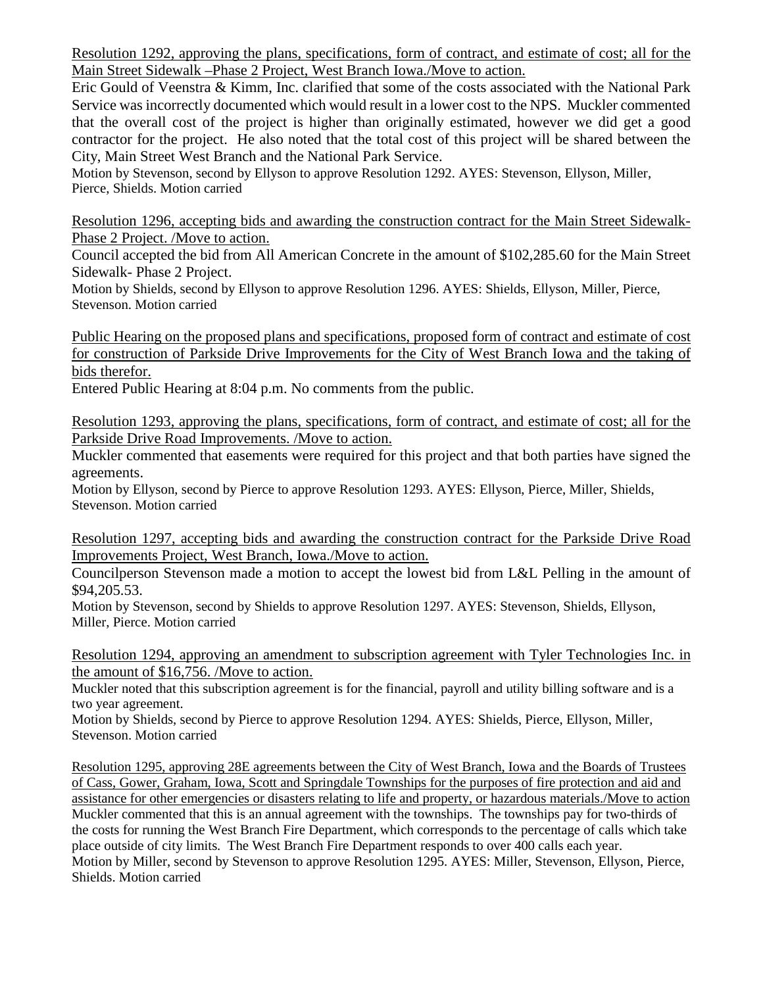Resolution 1292, approving the plans, specifications, form of contract, and estimate of cost; all for the Main Street Sidewalk –Phase 2 Project, West Branch Iowa./Move to action.

Eric Gould of Veenstra & Kimm, Inc. clarified that some of the costs associated with the National Park Service was incorrectly documented which would result in a lower cost to the NPS. Muckler commented that the overall cost of the project is higher than originally estimated, however we did get a good contractor for the project. He also noted that the total cost of this project will be shared between the City, Main Street West Branch and the National Park Service.

Motion by Stevenson, second by Ellyson to approve Resolution 1292. AYES: Stevenson, Ellyson, Miller, Pierce, Shields. Motion carried

Resolution 1296, accepting bids and awarding the construction contract for the Main Street Sidewalk-Phase 2 Project. /Move to action.

Council accepted the bid from All American Concrete in the amount of \$102,285.60 for the Main Street Sidewalk- Phase 2 Project.

Motion by Shields, second by Ellyson to approve Resolution 1296. AYES: Shields, Ellyson, Miller, Pierce, Stevenson. Motion carried

Public Hearing on the proposed plans and specifications, proposed form of contract and estimate of cost for construction of Parkside Drive Improvements for the City of West Branch Iowa and the taking of bids therefor.

Entered Public Hearing at 8:04 p.m. No comments from the public.

Resolution 1293, approving the plans, specifications, form of contract, and estimate of cost; all for the Parkside Drive Road Improvements. /Move to action.

Muckler commented that easements were required for this project and that both parties have signed the agreements.

Motion by Ellyson, second by Pierce to approve Resolution 1293. AYES: Ellyson, Pierce, Miller, Shields, Stevenson. Motion carried

Resolution 1297, accepting bids and awarding the construction contract for the Parkside Drive Road Improvements Project, West Branch, Iowa./Move to action.

Councilperson Stevenson made a motion to accept the lowest bid from L&L Pelling in the amount of \$94,205.53.

Motion by Stevenson, second by Shields to approve Resolution 1297. AYES: Stevenson, Shields, Ellyson, Miller, Pierce. Motion carried

Resolution 1294, approving an amendment to subscription agreement with Tyler Technologies Inc. in the amount of \$16,756. /Move to action.

Muckler noted that this subscription agreement is for the financial, payroll and utility billing software and is a two year agreement.

Motion by Shields, second by Pierce to approve Resolution 1294. AYES: Shields, Pierce, Ellyson, Miller, Stevenson. Motion carried

Resolution 1295, approving 28E agreements between the City of West Branch, Iowa and the Boards of Trustees of Cass, Gower, Graham, Iowa, Scott and Springdale Townships for the purposes of fire protection and aid and assistance for other emergencies or disasters relating to life and property, or hazardous materials./Move to action Muckler commented that this is an annual agreement with the townships. The townships pay for two-thirds of the costs for running the West Branch Fire Department, which corresponds to the percentage of calls which take place outside of city limits. The West Branch Fire Department responds to over 400 calls each year. Motion by Miller, second by Stevenson to approve Resolution 1295. AYES: Miller, Stevenson, Ellyson, Pierce, Shields. Motion carried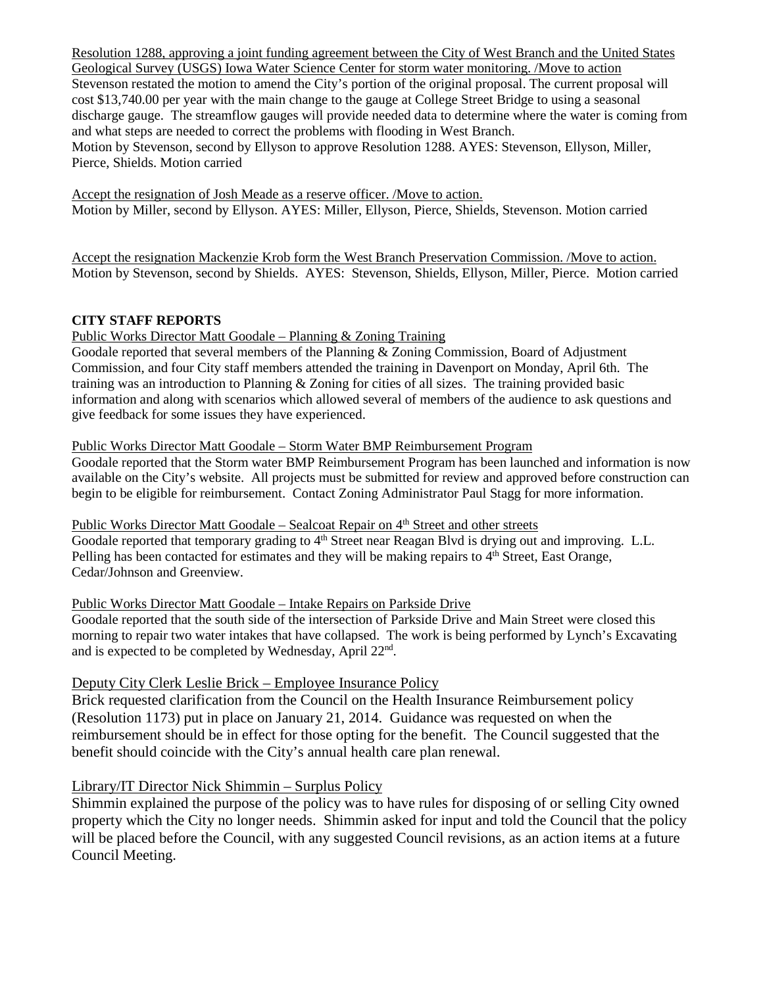Resolution 1288, approving a joint funding agreement between the City of West Branch and the United States Geological Survey (USGS) Iowa Water Science Center for storm water monitoring. /Move to action Stevenson restated the motion to amend the City's portion of the original proposal. The current proposal will cost \$13,740.00 per year with the main change to the gauge at College Street Bridge to using a seasonal discharge gauge. The streamflow gauges will provide needed data to determine where the water is coming from and what steps are needed to correct the problems with flooding in West Branch. Motion by Stevenson, second by Ellyson to approve Resolution 1288. AYES: Stevenson, Ellyson, Miller, Pierce, Shields. Motion carried

Accept the resignation of Josh Meade as a reserve officer. /Move to action. Motion by Miller, second by Ellyson. AYES: Miller, Ellyson, Pierce, Shields, Stevenson. Motion carried

Accept the resignation Mackenzie Krob form the West Branch Preservation Commission. /Move to action. Motion by Stevenson, second by Shields. AYES: Stevenson, Shields, Ellyson, Miller, Pierce. Motion carried

### **CITY STAFF REPORTS**

#### Public Works Director Matt Goodale – Planning & Zoning Training

Goodale reported that several members of the Planning & Zoning Commission, Board of Adjustment Commission, and four City staff members attended the training in Davenport on Monday, April 6th. The training was an introduction to Planning & Zoning for cities of all sizes. The training provided basic information and along with scenarios which allowed several of members of the audience to ask questions and give feedback for some issues they have experienced.

#### Public Works Director Matt Goodale – Storm Water BMP Reimbursement Program

Goodale reported that the Storm water BMP Reimbursement Program has been launched and information is now available on the City's website. All projects must be submitted for review and approved before construction can begin to be eligible for reimbursement. Contact Zoning Administrator Paul Stagg for more information.

#### Public Works Director Matt Goodale – Sealcoat Repair on 4<sup>th</sup> Street and other streets

Goodale reported that temporary grading to 4<sup>th</sup> Street near Reagan Blvd is drying out and improving. L.L. Pelling has been contacted for estimates and they will be making repairs to  $4<sup>th</sup>$  Street, East Orange, Cedar/Johnson and Greenview.

#### Public Works Director Matt Goodale – Intake Repairs on Parkside Drive

Goodale reported that the south side of the intersection of Parkside Drive and Main Street were closed this morning to repair two water intakes that have collapsed. The work is being performed by Lynch's Excavating and is expected to be completed by Wednesday, April 22nd.

### Deputy City Clerk Leslie Brick – Employee Insurance Policy

Brick requested clarification from the Council on the Health Insurance Reimbursement policy (Resolution 1173) put in place on January 21, 2014. Guidance was requested on when the reimbursement should be in effect for those opting for the benefit. The Council suggested that the benefit should coincide with the City's annual health care plan renewal.

### Library/IT Director Nick Shimmin – Surplus Policy

Shimmin explained the purpose of the policy was to have rules for disposing of or selling City owned property which the City no longer needs. Shimmin asked for input and told the Council that the policy will be placed before the Council, with any suggested Council revisions, as an action items at a future Council Meeting.